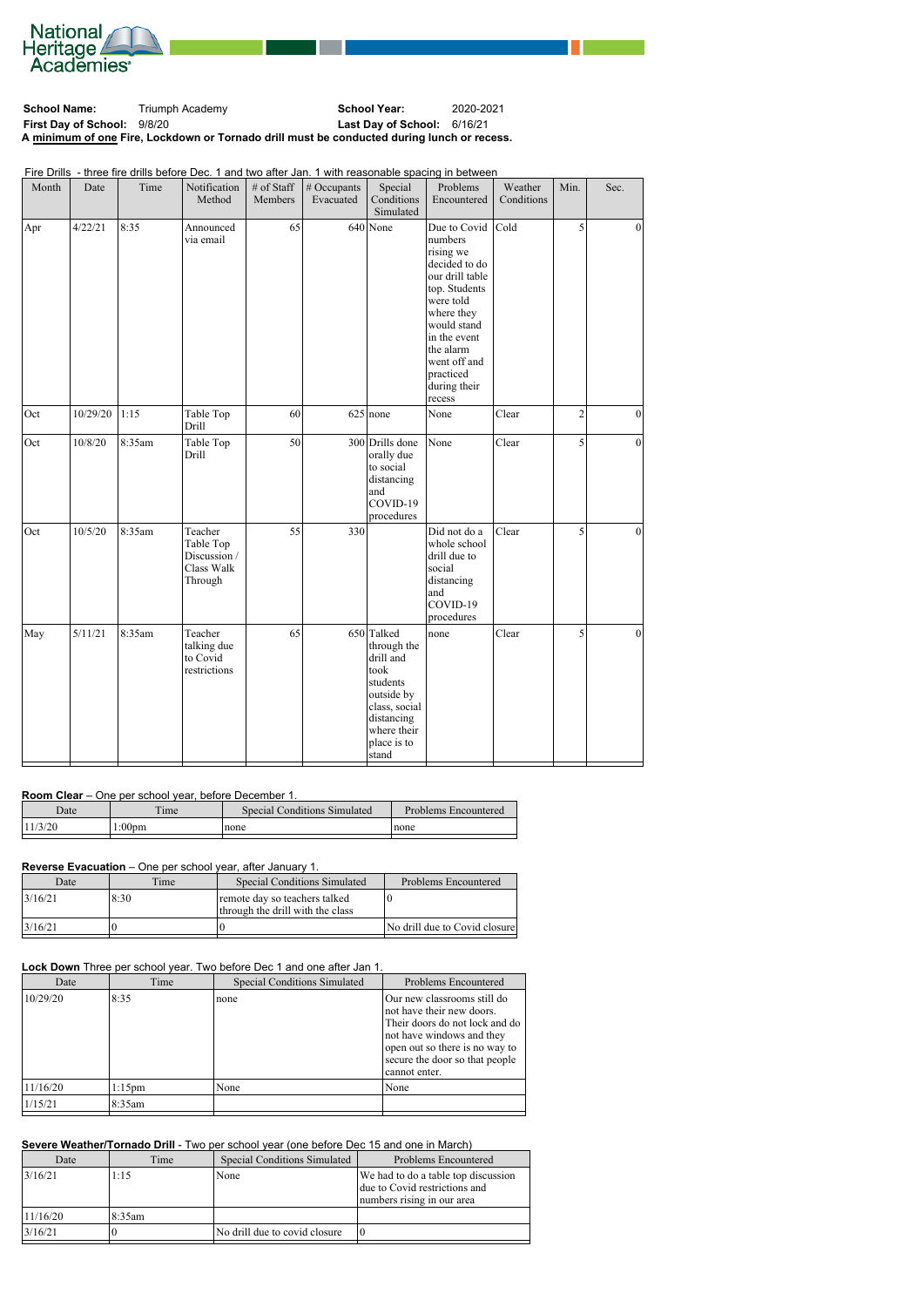

School Name: Triumph Academy **School Year:** 2020-2021 **First Day of School:** 9/8/20 **Last Day of School:** 6/16/21 **A minimum of one Fire, Lockdown or Tornado drill must be conducted during lunch or recess.**

Fire Drills - three fire drills before Dec. 1 and two after Jan. 1 with reasonable spacing in between

| Month | Date     | Time   | Notification<br>Method                                        | # of Staff<br>Members | # Occupants<br>Evacuated | Special<br>Conditions<br>Simulated                                                                                                             | Problems<br>Encountered                                                                                                                                                                                                 | Weather<br>Conditions | Min.           | Sec.            |
|-------|----------|--------|---------------------------------------------------------------|-----------------------|--------------------------|------------------------------------------------------------------------------------------------------------------------------------------------|-------------------------------------------------------------------------------------------------------------------------------------------------------------------------------------------------------------------------|-----------------------|----------------|-----------------|
| Apr   | 4/22/21  | 8:35   | Announced<br>via email                                        | 65                    |                          | $640$ None                                                                                                                                     | Due to Covid<br>numbers<br>rising we<br>decided to do<br>our drill table<br>top. Students<br>were told<br>where they<br>would stand<br>in the event<br>the alarm<br>went off and<br>practiced<br>during their<br>recess | $ $ Cold              | 5              | $\Omega$        |
| Oct   | 10/29/20 | 1:15   | Table Top<br>Drill                                            | 60                    |                          | $625$ none                                                                                                                                     | None                                                                                                                                                                                                                    | Clear                 | $\overline{c}$ | $\vert$ 0       |
| Oct   | 10/8/20  | 8:35am | Table Top<br>Drill                                            | 50                    |                          | 300 Drills done<br>orally due<br>to social<br>distancing<br>and<br>COVID-19<br>procedures                                                      | None                                                                                                                                                                                                                    | Clear                 | 5              | 0               |
| Oct   | 10/5/20  | 8:35am | Teacher<br>Table Top<br>Discussion /<br>Class Walk<br>Through | 55                    | 330                      |                                                                                                                                                | Did not do a<br>whole school<br>drill due to<br>social<br>distancing<br>and<br>COVID-19<br>procedures                                                                                                                   | Clear                 | 5              | $\vert 0 \vert$ |
| May   | 5/11/21  | 8:35am | Teacher<br>talking due<br>to Covid<br>restrictions            | 65                    |                          | 650 Talked<br>through the<br>drill and<br>took<br>students<br>outside by<br>class, social<br>distancing<br>where their<br>place is to<br>stand | none                                                                                                                                                                                                                    | Clear                 | 5              | $\vert 0 \vert$ |

### **Room Clear** – One per school year, before December 1.

| Date    | <b>TELL</b><br>ime | <b>Special Conditions Simulated</b> | <b>Problems Encountered</b> |
|---------|--------------------|-------------------------------------|-----------------------------|
| 11/3/20 | :00 <sub>pm</sub>  | none                                | none                        |

# **Reverse Evacuation** – One per school year, after January 1.

| Date     | Time | <b>Special Conditions Simulated</b>                               | Problems Encountered            |
|----------|------|-------------------------------------------------------------------|---------------------------------|
| 13/16/21 | 8:30 | remote day so teachers talked<br>through the drill with the class |                                 |
| 13/16/21 |      |                                                                   | [No drill due to Covid closure] |

#### **Lock Down** Three per school year. Two before Dec 1 and one after Jan 1.

| Jate | ime | Special Conditions Simulated | Problems Encountered |
|------|-----|------------------------------|----------------------|

| 10/29/20 | 8:35      | none | Our new classrooms still do<br>not have their new doors.<br>Their doors do not lock and do<br>not have windows and they<br>open out so there is no way to<br>secure the door so that people<br>cannot enter. |
|----------|-----------|------|--------------------------------------------------------------------------------------------------------------------------------------------------------------------------------------------------------------|
| 11/16/20 | $1:15$ pm | None | None                                                                                                                                                                                                         |
| 1/15/21  | 8:35am    |      |                                                                                                                                                                                                              |
|          |           |      |                                                                                                                                                                                                              |

## **Severe Weather/Tornado Drill** - Two per school year (one before Dec 15 and one in March)

| Date     | Time    | <b>Special Conditions Simulated</b> | Problems Encountered                                                                               |
|----------|---------|-------------------------------------|----------------------------------------------------------------------------------------------------|
| 13/16/21 | 1:15    | None                                | We had to do a table top discussion<br>due to Covid restrictions and<br>numbers rising in our area |
| 11/16/20 | 18:35am |                                     |                                                                                                    |
| 3/16/21  |         | No drill due to covid closure       | 10                                                                                                 |